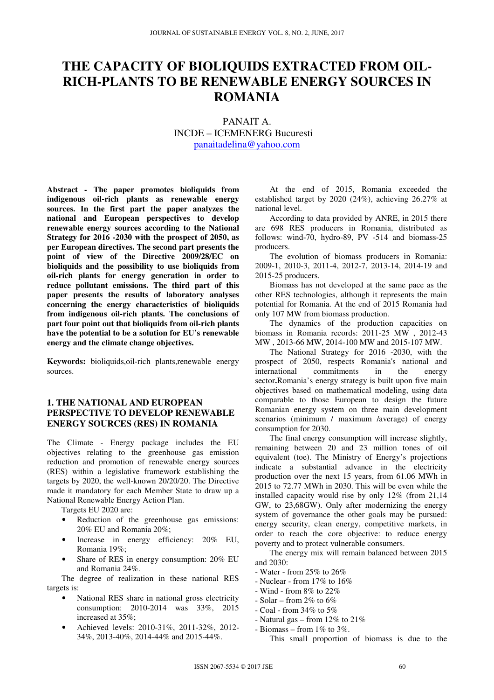# **THE CAPACITY OF BIOLIQUIDS EXTRACTED FROM OIL-RICH-PLANTS TO BE RENEWABLE ENERGY SOURCES IN ROMANIA**

# PANAIT A. INCDE – ICEMENERG Bucuresti panaitadelina@yahoo.com

**Abstract - The paper promotes bioliquids from indigenous oil-rich plants as renewable energy sources. In the first part the paper analyzes the national and European perspectives to develop renewable energy sources according to the National Strategy for 2016 -2030 with the prospect of 2050, as per European directives. The second part presents the point of view of the Directive 2009/28/EC on bioliquids and the possibility to use bioliquids from oil-rich plants for energy generation in order to reduce pollutant emissions. The third part of this paper presents the results of laboratory analyses concerning the energy characteristics of bioliquids from indigenous oil-rich plants. The conclusions of part four point out that bioliquids from oil-rich plants have the potential to be a solution for EU's renewable energy and the climate change objectives.** 

**Keywords:** bioliquids,oil-rich plants,renewable energy sources.

## **1. THE NATIONAL AND EUROPEAN PERSPECTIVE TO DEVELOP RENEWABLE ENERGY SOURCES (RES) IN ROMANIA**

The Climate - Energy package includes the EU objectives relating to the greenhouse gas emission reduction and promotion of renewable energy sources (RES) within a legislative framework establishing the targets by 2020, the well-known 20/20/20. The Directive made it mandatory for each Member State to draw up a National Renewable Energy Action Plan.

Targets EU 2020 are:

- Reduction of the greenhouse gas emissions: 20% EU and Romania 20%;
- Increase in energy efficiency: 20% EU, Romania 19%;
- Share of RES in energy consumption: 20% EU and Romania 24%.

 The degree of realization in these national RES targets is:

- National RES share in national gross electricity consumption: 2010-2014 was 33%, 2015 increased at 35%;
- Achieved levels: 2010-31%, 2011-32%, 2012-34%, 2013-40%, 2014-44% and 2015-44%.

 At the end of 2015, Romania exceeded the established target by 2020 (24%), achieving 26.27% at national level.

 According to data provided by ANRE, in 2015 there are 698 RES producers in Romania, distributed as follows: wind-70, hydro-89, PV -514 and biomass-25 producers.

 The evolution of biomass producers in Romania: 2009-1, 2010-3, 2011-4, 2012-7, 2013-14, 2014-19 and 2015-25 producers.

 Biomass has not developed at the same pace as the other RES technologies, although it represents the main potential for Romania. At the end of 2015 Romania had only 107 MW from biomass production.

 The dynamics of the production capacities on biomass in Romania records: 2011-25 MW , 2012-43 MW , 2013-66 MW, 2014-100 MW and 2015-107 MW.

 The National Strategy for 2016 -2030, with the prospect of 2050, respects Romania's national and international commitments in the energy sector**.**Romania's energy strategy is built upon five main objectives based on mathematical modeling, using data comparable to those European to design the future Romanian energy system on three main development scenarios (minimum / maximum /average) of energy consumption for 2030.

 The final energy consumption will increase slightly, remaining between 20 and 23 million tones of oil equivalent (toe). The Ministry of Energy's projections indicate a substantial advance in the electricity production over the next 15 years, from 61.06 MWh in 2015 to 72.77 MWh in 2030. This will be even while the installed capacity would rise by only 12% (from 21,14 GW, to 23,68GW). Only after modernizing the energy system of governance the other goals may be pursued: energy security, clean energy, competitive markets, in order to reach the core objective: to reduce energy poverty and to protect vulnerable consumers.

 The energy mix will remain balanced between 2015 and 2030:

- Water from 25% to 26%
- Nuclear from 17% to 16%
- Wind from 8% to 22%
- Solar from 2% to  $6\%$
- Coal from 34% to 5%
- Natural gas from  $12\%$  to  $21\%$
- Biomass from  $1\%$  to  $3\%$ .

This small proportion of biomass is due to the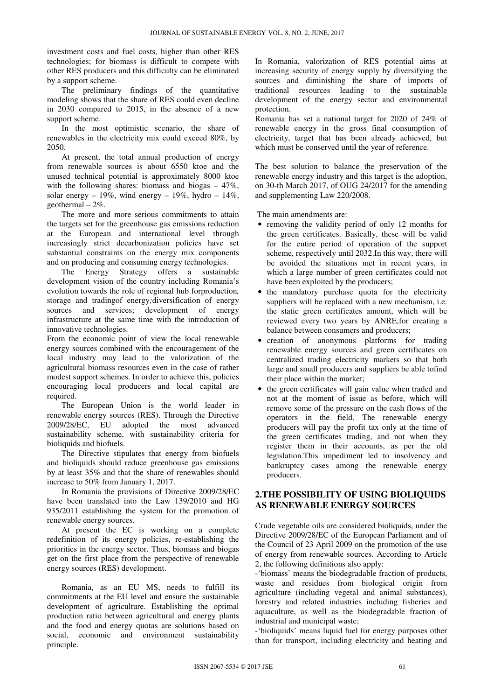investment costs and fuel costs, higher than other RES technologies; for biomass is difficult to compete with other RES producers and this difficulty can be eliminated by a support scheme.

 The preliminary findings of the quantitative modeling shows that the share of RES could even decline in 2030 compared to 2015, in the absence of a new support scheme.

 In the most optimistic scenario, the share of renewables in the electricity mix could exceed 80%, by 2050.

 At present, the total annual production of energy from renewable sources is about 6550 ktoe and the unused technical potential is approximately 8000 ktoe with the following shares: biomass and biogas  $-47\%$ , solar energy – 19%, wind energy – 19%, hydro – 14%, geothermal – 2%.

 The more and more serious commitments to attain the targets set for the greenhouse gas emissions reduction at the European and international level through increasingly strict decarbonization policies have set substantial constraints on the energy mix components and on producing and consuming energy technologies.<br>The Energy Strategy offers a sustainable

The Energy Strategy development vision of the country including Romania's evolution towards the role of regional hub forproduction*,*  storage and tradingof energy*;*diversification of energy sources and services; development of energy infrastructure at the same time with the introduction of innovative technologies.

From the economic point of view the local renewable energy sources combined with the encouragement of the local industry may lead to the valorization of the agricultural biomass resources even in the case of rather modest support schemes. In order to achieve this, policies encouraging local producers and local capital are required.

 The European Union is the world leader in renewable energy sources (RES). Through the Directive 2009/28/EC, EU adopted the most advanced sustainability scheme, with sustainability criteria for bioliquids and biofuels.

 The Directive stipulates that energy from biofuels and bioliquids should reduce greenhouse gas emissions by at least 35% and that the share of renewables should increase to 50% from January 1, 2017.

 In Romania the provisions of Directive 2009/28/EC have been translated into the Law 139/2010 and HG 935/2011 establishing the system for the promotion of renewable energy sources.

 At present the EC is working on a complete redefinition of its energy policies, re-establishing the priorities in the energy sector. Thus, biomass and biogas get on the first place from the perspective of renewable energy sources (RES) development.

 Romania, as an EU MS, needs to fulfill its commitments at the EU level and ensure the sustainable development of agriculture. Establishing the optimal production ratio between agricultural and energy plants and the food and energy quotas are solutions based on social, economic and environment sustainability principle.

In Romania, valorization of RES potential aims at increasing security of energy supply by diversifying the sources and diminishing the share of imports of traditional resources leading to the sustainable development of the energy sector and environmental protection.

Romania has set a national target for 2020 of 24% of renewable energy in the gross final consumption of electricity, target that has been already achieved, but which must be conserved until the year of reference.

The best solution to balance the preservation of the renewable energy industry and this target is the adoption, on 30-th March 2017, of OUG 24/2017 for the amending and supplementing Law 220/2008.

The main amendments are:

- removing the validity period of only 12 months for the green certificates. Basically, these will be valid for the entire period of operation of the support scheme, respectively until 2032.In this way, there will be avoided the situations met in recent years, in which a large number of green certificates could not have been exploited by the producers;
- the mandatory purchase quota for the electricity suppliers will be replaced with a new mechanism, i.e. the static green certificates amount, which will be reviewed every two years by ANRE,for creating a balance between consumers and producers;
- creation of anonymous platforms for trading renewable energy sources and green certificates on centralized trading electricity markets so that both large and small producers and suppliers be able tofind their place within the market;
- the green certificates will gain value when traded and not at the moment of issue as before, which will remove some of the pressure on the cash flows of the operators in the field. The renewable energy producers will pay the profit tax only at the time of the green certificates trading, and not when they register them in their accounts, as per the old legislation.This impediment led to insolvency and bankruptcy cases among the renewable energy producers.

# **2.THE POSSIBILITY OF USING BIOLIQUIDS AS RENEWABLE ENERGY SOURCES**

Crude vegetable oils are considered bioliquids, under the Directive 2009/28/EC of the European Parliament and of the Council of 23 April 2009 on the promotion of the use of energy from renewable sources. According to Article 2, the following definitions also apply:

-'biomass' means the biodegradable fraction of products, waste and residues from biological origin from agriculture (including vegetal and animal substances), forestry and related industries including fisheries and aquaculture, as well as the biodegradable fraction of industrial and municipal waste;

-'bioliquids' means liquid fuel for energy purposes other than for transport, including electricity and heating and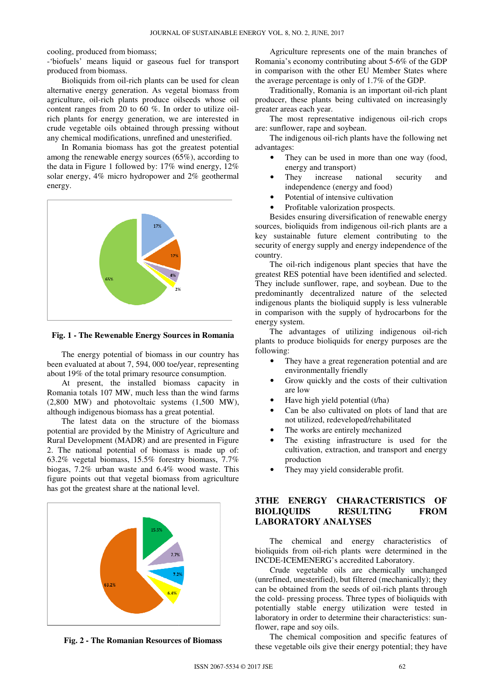cooling, produced from biomass;

-'biofuels' means liquid or gaseous fuel for transport produced from biomass.

 Bioliquids from oil-rich plants can be used for clean alternative energy generation. As vegetal biomass from agriculture, oil-rich plants produce oilseeds whose oil content ranges from 20 to 60 %. In order to utilize oil rich plants for energy generation, we are interested in crude vegetable oils obtained through pressing without any chemical modifications, unrefined and unesterified. ns liquid or gaseous fuel for transport<br>biomass.<br>from oil-rich plants can be used for clean<br>gy generation. As vegetal biomass from<br>rich plants produce oilseeds whose oil<br>from 20 to 60 %. In order to utilize oil-

 In Romania biomass has got the greatest potential among the renewable energy sources (65%), according to the data in Figure 1 followed by: 17% wind energy, 12% solar energy, 4% micro hydropower and 2% geothermal energy.



**Fig. 1 - The Rewenable Energy Sources in Romania**

 The energy potential of biomass in our country has been evaluated at about 7, 594, 000 toe/year, representing about 19% of the total primary resource consumption.

 At present, the installed biomass capacity in Romania totals 107 MW, much less than the wind farms (2,800 MW) and photovoltaic systems (1,500 MW), although indigenous biomass has a great potential.

 The latest data on the structure of the biomass potential are provided by the Ministry of Agriculture and Rural Development (MADR) and are presented in Figure 2. The national potential of biomass is made up of: 63.2% vegetal biomass, 15.5% forestry biomass, 7.7% biogas, 7.2% urban waste and 6.4% wood waste. This figure points out that vegetal biomass from agriculture has got the greatest share at the national level.



**Fig. 2 - The Romanian Resources Resources of Biomass** 

 Agriculture represents one of the main branches of Romania's economy contributing about 5 5-6% of the GDP in comparison with the other EU Member States where the average percentage is only of 1.7% of the GDP.

Traditionally, Romania is an important oil-rich plant producer, these plants being cultivated on increasingly greater areas each year.

The most representative indigenous oil-rich crops are: sunflower, rape and soybean.

 The indigenous oil-rich plants have the following net advantages:

- They can be used in more than one way (food, energy and transport) rich plants have the following net<br>sed in more than one way (food,<br>sport)<br>se national security and<br>energy and food)<br>ensive cultivation<br>rization prospects.<br>versification of renewable energy
- They increase national security and independence (energy and food)
- Potential of intensive cultivation
- Profitable valorization prospects.

Besides ensuring diversification of renewable energy sources, bioliquids from indigenous oil-rich plants are a key sustainable future element contributing to the security of energy supply and energy independence of the country.

 The oil-rich indigenous plant species that have the greatest RES potential have been identified and selected. They include sunflower, rape, and soybean. Due to the predominantly decentralized nature of the selected indigenous plants the bioliquid supply is less vulnerable in comparison with the supply of hydrocarbons for the energy system. The oil-rich indigenous plant species that have the est RES potential have been identified and selected.<br>
include sunflower, rape, and soybean. Due to the ominantly decentralized nature of the selected<br>
enous plants the bi

The advantages of utilizing indigenous oil-rich plants to produce bioliquids for energy purposes are the following:

- They have a great regeneration potential and are environmentally friendly
- Grow quickly and the costs of their cultivation are low
- Have high yield potential (t/ha)
- Can be also cultivated on plots of land that are not utilized, redeveloped/rehabilitated
- The works are entirely mechanized
- The existing infrastructure is used for the cultivation, extraction, and transport and energy production
- They may yield considerable profit.

## **3THE ENERGY CHARACTERISTICS OF THE BIOLIQUIDS RESULTING FROM LABORATORY ANALYSES**

 The chemical and energy characteristics of bioliquids from oil-rich plants were determined in the INCDE-ICEMENERG's accredited Laboratory.

 Crude vegetable oils are chemically unchanged bioliquids from oil-rich plants were determined in the<br>INCDE-ICEMENERG's accredited Laboratory.<br>Crude vegetable oils are chemically unchanged<br>(unrefined, unesterified), but filtered (mechanically); they can be obtained from the seeds of oil-rich plants through the cold- pressing process. Three types of bioliquids with potentially stable energy utilization were tested in laboratory in order to determine their characteristics: sunflower, rape and soy oils.

 The chemical composition and specific features of these vegetable oils give their energy potential; they have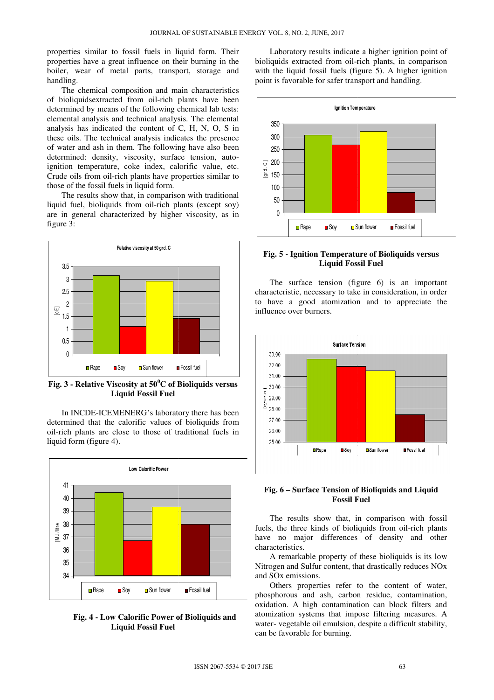properties similar to fossil fuels in liquid form. Their properties have a great influence on their burning in the boiler, wear of metal parts, transport, storage and handling. boiler, wear of metal parts, transport, storage and handling.<br>The chemical composition and main characteristics

of bioliquidsextracted from oil-rich plants have been determined by means of the following chemical lab tests: elemental analysis and technical analysis. The elemental analysis has indicated the content of C, H, N, O, S in these oils. The technical analysis indicates the presence of water and ash in them. The following have also been determined: density, viscosity, surface tension, autoignition temperature, coke index, calorific value, etc. Crude oils from oil-rich plants have properties similar to those of the fossil fuels in liquid form.

 The results show that, in comparison with traditional liquid fuel, bioliquids from oil-rich plants (except soy) are in general characterized by higher viscosity, as in figure 3:



**Fig. 3 - Relative Viscosity at 50<sup>0</sup>C of Bioliquids versus Liquid Fossil Fuel**

 In INCDE-ICEMENERG's laboratory there has been determined that the calorific values of bioliquids from oil-rich plants are close to those of traditional fuels in liquid form (figure 4).



#### **Fig. 4 - Low Calorific Power of Bioliquids and Liquid Fossil Fuel**

bioliquids extracted from oil-rich plants, in comparison with the liquid fossil fuels (figure 5). A higher ignition point is favorable for safer transport and handling.



#### **Fig. 5 - Ignition Temperature of Bioliquids versus Liquid Fossil Fuel**

 The surface tension (figure 6) is an important characteristic, necessary to take in consideration, in order to have a good atomization and to appreciate the influence over burners.



#### **Fig. 6 – Surface Tension of Bioliquids and Liquid Fossil Fuel**

 The results show that, in comparison with fossil fuels, the three kinds of bioliquids from oil-rich plants have no major differences of density and other characteristics.

 A remarkable property of these bioliquids is its low Nitrogen and Sulfur content, that drastically reduces NOx and SOx emissions.

 Others properties refer to the content of water, phosphorous and ash, carbon residue, contamination, oxidation. A high contamination can block filters and atomization systems that impose filtering measures. A water- vegetable oil emulsion, despite a difficult stability, can be favorable for burning. operty of these bioliquids is its low<br>content, that drastically reduces NOx<br>ss refer to the content of water,<br>th, carbon residue, contamination,<br>ontamination can block filters and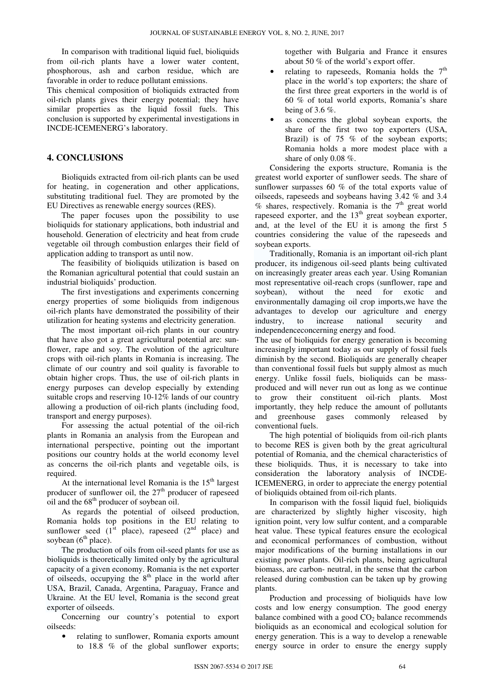In comparison with traditional liquid fuel, bioliquids from oil-rich plants have a lower water content, phosphorous, ash and carbon residue, which are favorable in order to reduce pollutant emissions.

This chemical composition of bioliquids extracted from oil-rich plants gives their energy potential; they have similar properties as the liquid fossil fuels. This conclusion is supported by experimental investigations in INCDE-ICEMENERG's laboratory.

### **4. CONCLUSIONS**

 Bioliquids extracted from oil-rich plants can be used for heating, in cogeneration and other applications, substituting traditional fuel. They are promoted by the EU Directives as renewable energy sources (RES).

 The paper focuses upon the possibility to use bioliquids for stationary applications, both industrial and household. Generation of electricity and heat from crude vegetable oil through combustion enlarges their field of application adding to transport as until now.

 The feasibility of bioliquids utilization is based on the Romanian agricultural potential that could sustain an industrial bioliquids' production.

 The first investigations and experiments concerning energy properties of some bioliquids from indigenous oil-rich plants have demonstrated the possibility of their utilization for heating systems and electricity generation.

 The most important oil-rich plants in our country that have also got a great agricultural potential are: sunflower, rape and soy. The evolution of the agriculture crops with oil-rich plants in Romania is increasing. The climate of our country and soil quality is favorable to obtain higher crops. Thus, the use of oil-rich plants in energy purposes can develop especially by extending suitable crops and reserving 10-12% lands of our country allowing a production of oil-rich plants (including food, transport and energy purposes).

 For assessing the actual potential of the oil-rich plants in Romania an analysis from the European and international perspective, pointing out the important positions our country holds at the world economy level as concerns the oil-rich plants and vegetable oils, is required.

At the international level Romania is the  $15<sup>th</sup>$  largest producer of sunflower oil, the  $27<sup>th</sup>$  producer of rapeseed oil and the  $68<sup>th</sup>$  producer of soybean oil.

 As regards the potential of oilseed production, Romania holds top positions in the EU relating to sunflower seed  $(1^{st}$  place), rapeseed  $(2^{nd}$  place) and soybean  $(6<sup>th</sup>$  place).

 The production of oils from oil-seed plants for use as bioliquids is theoretically limited only by the agricultural capacity of a given economy. Romania is the net exporter of oilseeds, occupying the  $8<sup>th</sup>$  place in the world after USA, Brazil, Canada, Argentina, Paraguay, France and Ukraine. At the EU level, Romania is the second great exporter of oilseeds.

 Concerning our country's potential to export oilseeds:

• relating to sunflower, Romania exports amount to 18.8 % of the global sunflower exports;

together with Bulgaria and France it ensures about 50 % of the world's export offer.

- relating to rapeseeds, Romania holds the  $7<sup>th</sup>$ place in the world's top exporters; the share of the first three great exporters in the world is of 60 % of total world exports, Romania's share being of 3.6 %.
- as concerns the global soybean exports, the share of the first two top exporters (USA, Brazil) is of 75 % of the soybean exports; Romania holds a more modest place with a share of only 0.08 %.

 Considering the exports structure, Romania is the greatest world exporter of sunflower seeds. The share of sunflower surpasses 60 % of the total exports value of oilseeds, rapeseeds and soybeans having 3.42 % and 3.4  $%$  shares, respectively. Romania is the  $7<sup>th</sup>$  great world rapeseed exporter, and the 13<sup>th</sup> great soybean exporter, and, at the level of the EU it is among the first 5 countries considering the value of the rapeseeds and soybean exports.

 Traditionally, Romania is an important oil-rich plant producer, its indigenous oil-seed plants being cultivated on increasingly greater areas each year. Using Romanian most representative oil-reach crops (sunflower, rape and soybean), without the need for exotic and environmentally damaging oil crop imports,we have the advantages to develop our agriculture and energy industry, to increase national security and independenceconcerning energy and food.

The use of bioliquids for energy generation is becoming increasingly important today as our supply of fossil fuels diminish by the second. Bioliquids are generally cheaper than conventional fossil fuels but supply almost as much energy. Unlike fossil fuels, bioliquids can be massproduced and will never run out as long as we continue to grow their constituent oil-rich plants. Most importantly, they help reduce the amount of pollutants and greenhouse gases commonly released by conventional fuels.

 The high potential of bioliquids from oil-rich plants to become RES is given both by the great agricultural potential of Romania, and the chemical characteristics of these bioliquids. Thus, it is necessary to take into consideration the laboratory analysis of INCDE-ICEMENERG, in order to appreciate the energy potential of bioliquids obtained from oil-rich plants.

 In comparison with the fossil liquid fuel, bioliquids are characterized by slightly higher viscosity, high ignition point, very low sulfur content, and a comparable heat value. These typical features ensure the ecological and economical performances of combustion, without major modifications of the burning installations in our existing power plants. Oil-rich plants, being agricultural biomass, are carbon- neutral, in the sense that the carbon released during combustion can be taken up by growing plants.

 Production and processing of bioliquids have low costs and low energy consumption. The good energy balance combined with a good  $CO<sub>2</sub>$  balance recommends bioliquids as an economical and ecological solution for energy generation. This is a way to develop a renewable energy source in order to ensure the energy supply